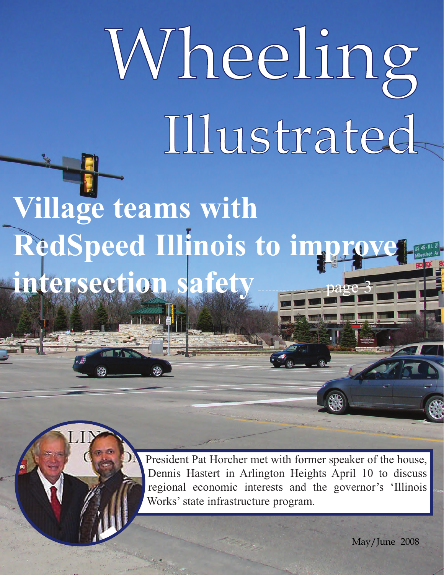# Wheeling Illustrated

**Village teams with RedSpeed Illinois to impr intersection safety** 

> President Pat Horcher met with former speaker of the house, Dennis Hastert in Arlington Heights April 10 to discuss regional economic interests and the governor's 'Illinois Works' state infrastructure program.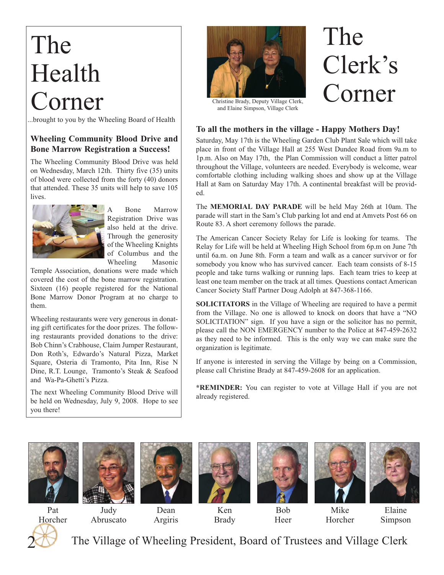# The Health Corner

...brought to you by the Wheeling Board of Health

#### **Wheeling Community Blood Drive and Bone Marrow Registration a Success!**

The Wheeling Community Blood Drive was held on Wednesday, March 12th. Thirty five (35) units of blood were collected from the forty (40) donors that attended. These 35 units will help to save 105 lives.



A Bone Marrow Registration Drive was also held at the drive. Through the generosity of the Wheeling Knights of Columbus and the Wheeling Masonic

Temple Association, donations were made which covered the cost of the bone marrow registration. Sixteen (16) people registered for the National Bone Marrow Donor Program at no charge to them.

Wheeling restaurants were very generous in donating gift certificates for the door prizes. The following restaurants provided donations to the drive: Bob Chinn's Crabhouse, Claim Jumper Restaurant, Don Roth's, Edwardo's Natural Pizza, Market Square, Osteria di Tramonto, Pita Inn, Rise N Dine, R.T. Lounge, Tramonto's Steak & Seafood and Wa-Pa-Ghetti's Pizza.

The next Wheeling Community Blood Drive will be held on Wednesday, July 9, 2008. Hope to see you there!



and Elaine Simpson, Village Clerk

#### **To all the mothers in the village - Happy Mothers Day!**

Saturday, May 17th is the Wheeling Garden Club Plant Sale which will take place in front of the Village Hall at 255 West Dundee Road from 9a.m to 1p.m. Also on May 17th, the Plan Commission will conduct a litter patrol throughout the Village, volunteers are needed. Everybody is welcome, wear comfortable clothing including walking shoes and show up at the Village Hall at 8am on Saturday May 17th. A continental breakfast will be provided.

The **MEMORIAL DAY PARADE** will be held May 26th at 10am. The parade will start in the Sam's Club parking lot and end at Amvets Post 66 on Route 83. A short ceremony follows the parade.

The American Cancer Society Relay for Life is looking for teams. The Relay for Life will be held at Wheeling High School from 6p.m on June 7th until 6a.m. on June 8th. Form a team and walk as a cancer survivor or for somebody you know who has survived cancer. Each team consists of 8-15 people and take turns walking or running laps. Each team tries to keep at least one team member on the track at all times. Questions contact American Cancer Society Staff Partner Doug Adolph at 847-368-1166.

**SOLICITATORS** in the Village of Wheeling are required to have a permit from the Village. No one is allowed to knock on doors that have a "NO SOLICITATION" sign. If you have a sign or the solicitor has no permit, please call the NON EMERGENCY number to the Police at 847-459-2632 as they need to be informed. This is the only way we can make sure the organization is legitimate.

If anyone is interested in serving the Village by being on a Commission, please call Christine Brady at 847-459-2608 for an application.

**\*REMINDER:** You can register to vote at Village Hall if you are not already registered.









Brady





Mike Horcher



2 Pat Horcher

Judy Abruscato

Dean Argiris

Bob Heer

Elaine Simpson

The Village of Wheeling President, Board of Trustees and Village Clerk

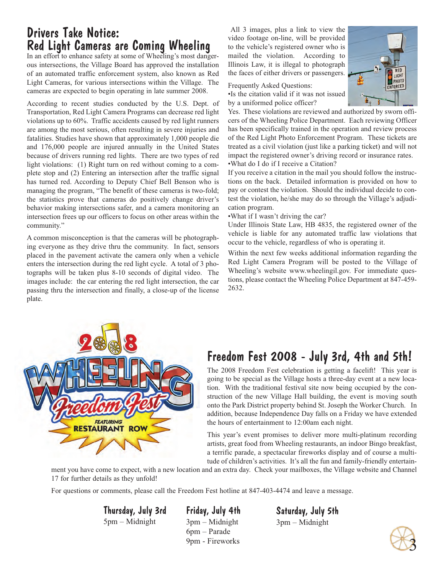# Drivers Take Notice: Red Light Cameras are Coming Wheeling

In an effort to enhance safety at some of Wheeling's most dangerous intersections, the Village Board has approved the installation of an automated traffic enforcement system, also known as Red Light Cameras, for various intersections within the Village. The cameras are expected to begin operating in late summer 2008.

According to recent studies conducted by the U.S. Dept. of Transportation, Red Light Camera Programs can decrease red light violations up to 60%. Traffic accidents caused by red light runners are among the most serious, often resulting in severe injuries and fatalities. Studies have shown that approximately 1,000 people die and 176,000 people are injured annually in the United States because of drivers running red lights. There are two types of red light violations: (1) Right turn on red without coming to a complete stop and (2) Entering an intersection after the traffic signal has turned red. According to Deputy Chief Bell Benson who is managing the program, "The benefit of these cameras is two-fold; the statistics prove that cameras do positively change driver's behavior making intersections safer, and a camera monitoring an intersection frees up our officers to focus on other areas within the community."

A common misconception is that the cameras will be photographing everyone as they drive thru the community. In fact, sensors placed in the pavement activate the camera only when a vehicle enters the intersection during the red light cycle. A total of 3 photographs will be taken plus 8-10 seconds of digital video. The images include: the car entering the red light intersection, the car passing thru the intersection and finally, a close-up of the license plate.

All 3 images, plus a link to view the video footage on-line, will be provided to the vehicle's registered owner who is mailed the violation. According to Illinois Law, it is illegal to photograph the faces of either drivers or passengers.



Frequently Asked Questions:

•Is the citation valid if it was not issued by a uniformed police officer?

Yes. These violations are reviewed and authorized by sworn officers of the Wheeling Police Department. Each reviewing Officer has been specifically trained in the operation and review process of the Red Light Photo Enforcement Program. These tickets are treated as a civil violation (just like a parking ticket) and will not impact the registered owner's driving record or insurance rates. •What do I do if I receive a Citation?

If you receive a citation in the mail you should follow the instructions on the back. Detailed information is provided on how to pay or contest the violation. Should the individual decide to contest the violation, he/she may do so through the Village's adjudication program.

•What if I wasn't driving the car?

Under Illinois State Law, HB 4835, the registered owner of the vehicle is liable for any automated traffic law violations that occur to the vehicle, regardless of who is operating it.

Within the next few weeks additional information regarding the Red Light Camera Program will be posted to the Village of Wheeling's website www.wheelingil.gov. For immediate questions, please contact the Wheeling Police Department at 847-459- 2632.



# Freedom Fest 2008 - July 3rd, 4th and 5th!

The 2008 Freedom Fest celebration is getting a facelift! This year is going to be special as the Village hosts a three-day event at a new location. With the traditional festival site now being occupied by the construction of the new Village Hall building, the event is moving south onto the Park District property behind St. Joseph the Worker Church. In addition, because Independence Day falls on a Friday we have extended the hours of entertainment to 12:00am each night.

This year's event promises to deliver more multi-platinum recording artists, great food from Wheeling restaurants, an indoor Bingo breakfast, a terrific parade, a spectacular fireworks display and of course a multitude of children's activities. It's all the fun and family-friendly entertain-

ment you have come to expect, with a new location and an extra day. Check your mailboxes, the Village website and Channel 17 for further details as they unfold!

For questions or comments, please call the Freedom Fest hotline at 847-403-4474 and leave a message.

Thursday, July 3rd 5pm – Midnight

Friday, July 4th 3pm – Midnight 6pm – Parade 9pm - Fireworks

Saturday, July 5th 3pm – Midnight

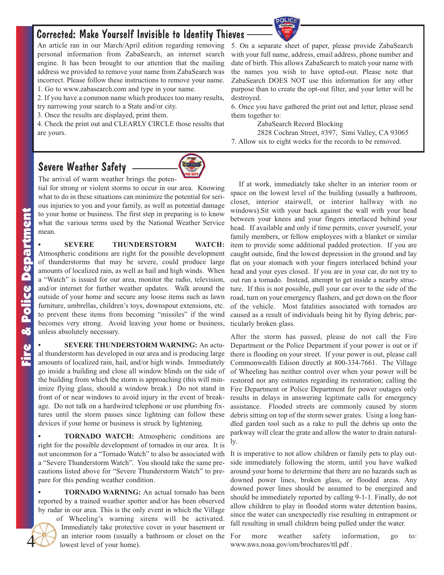# Corrected: Make Yourself Invisible to Identity Thieves

An article ran in our March/April edition regarding removing personal information from ZabaSearch, an internet search engine. It has been brought to our attention that the mailing address we provided to remove your name from ZabaSearch was incorrect. Please follow these instructions to remove your name. 1. Go to www.zabasearch.com and type in your name.

2. If you have a common name which produces too many results,

try narrowing your search to a State and/or city.

3. Once the results are displayed, print them.

4. Check the print out and CLEARLY CIRCLE those results that are yours.

# Severe Weather Safety



The arrival of warm weather brings the poten-

tial for strong or violent storms to occur in our area. Knowing what to do in these situations can minimize the potential for serious injuries to you and your family, as well as potential damage to your home or business. The first step in preparing is to know what the various terms used by the National Weather Service mean.

**• SEVERE THUNDERSTORM WATCH:** Atmospheric conditions are right for the possible development of thunderstorms that may be severe, could produce large amounts of localized rain, as well as hail and high winds. When a "Watch" is issued for our area, monitor the radio, television, and/or internet for further weather updates. Walk around the outside of your home and secure any loose items such as lawn furniture, umbrellas, children's toys, downspout extensions, etc. to prevent these items from becoming "missiles" if the wind becomes very strong. Avoid leaving your home or business, unless absolutely necessary.

**• SEVERE THUNDERSTORM WARNING:** An actual thunderstorm has developed in our area and is producing large amounts of localized rain, hail, and/or high winds. Immediately go inside a building and close all window blinds on the side of the building from which the storm is approaching (this will minimize flying glass, should a window break.) Do not stand in front of or near windows to avoid injury in the event of breakage. Do not talk on a hardwired telephone or use plumbing fixtures until the storm passes since lightning can follow these devices if your home or business is struck by lightening.

**• TORNADO WATCH:** Atmospheric conditions are right for the possible development of tornados in our area. It is not uncommon for a "Tornado Watch" to also be associated with a "Severe Thunderstorm Watch". You should take the same precautions listed above for "Severe Thunderstorm Watch" to prepare for this pending weather condition.

**• TORNADO WARNING:** An actual tornado has been reported by a trained weather spotter and/or has been observed by radar in our area. This is the only event in which the Village

of Wheeling's warning sirens will be activated. Immediately take protective cover in your basement or an interior room (usually a bathroom or closet on the lowest level of your home).

5. On a separate sheet of paper, please provide ZabaSearch with your full name, address, email address, phone number and date of birth. This allows ZabaSearch to match your name with the names you wish to have opted-out. Please note that ZabaSearch DOES NOT use this information for any other purpose than to create the opt-out filter, and your letter will be destroyed.

6. Once you have gathered the print out and letter, please send them together to:

ZabaSearch Record Blocking

2828 Cochran Street, #397, Simi Valley, CA 93065 7. Allow six to eight weeks for the records to be removed.

If at work, immediately take shelter in an interior room or space on the lowest level of the building (usually a bathroom, closet, interior stairwell, or interior hallway with no windows).Sit with your back against the wall with your head between your knees and your fingers interlaced behind your head. If available and only if time permits, cover yourself, your family members, or fellow employees with a blanket or similar item to provide some additional padded protection. If you are caught outside, find the lowest depression in the ground and lay flat on your stomach with your fingers interlaced behind your head and your eyes closed. If you are in your car, do not try to out run a tornado. Instead, attempt to get inside a nearby structure. If this is not possible, pull your car over to the side of the road, turn on your emergency flashers, and get down on the floor of the vehicle. Most fatalities associated with tornados are caused as a result of individuals being hit by flying debris; particularly broken glass.

After the storm has passed, please do not call the Fire Department or the Police Department if your power is out or if there is flooding on your street. If your power is out, please call Commonwealth Edison directly at 800-334-7661. The Village of Wheeling has neither control over when your power will be restored nor any estimates regarding its restoration; calling the Fire Department or Police Department for power outages only results in delays in answering legitimate calls for emergency assistance. Flooded streets are commonly caused by storm debris sitting on top of the storm sewer grates. Using a long handled garden tool such as a rake to pull the debris up onto the parkway will clear the grate and allow the water to drain naturally.

It is imperative to not allow children or family pets to play outside immediately following the storm, until you have walked around your home to determine that there are no hazards such as downed power lines, broken glass, or flooded areas. Any downed power lines should be assumed to be energized and should be immediately reported by calling 9-1-1. Finally, do not allow children to play in flooded storm water detention basins, since the water can unexpectedly rise resulting in entrapment or fall resulting in small children being pulled under the water.

For more weather safety information, go to: www.nws.noaa.gov/om/brochures/ttl.pdf .

4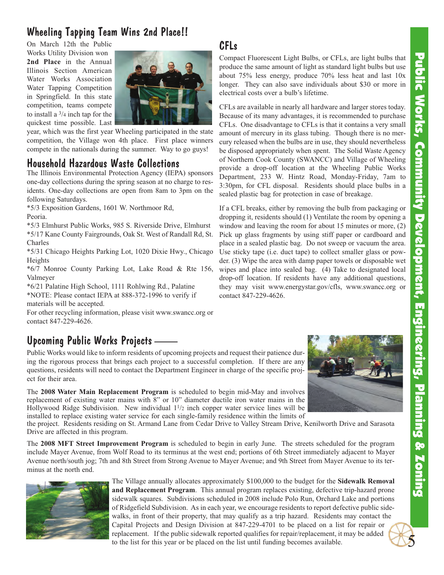# Public Works, Community Developmeering, Fngineering, Planing & Zoning Public Works, Community Development, Engineering, Planning & Zoning

5

# Wheeling Tapping Team Wins 2nd Place!!

On March 12th the Public

Works Utility Division won **2nd Place** in the Annual Illinois Section American Water Works Association Water Tapping Competition in Springfield. In this state competition, teams compete to install a 3/4 inch tap for the quickest time possible. Last



CFLs

year, which was the first year Wheeling participated in the state competition, the Village won 4th place. First place winners compete in the nationals during the summer. Way to go guys!

## Household Hazardous Waste Collections

The Illinois Environmental Protection Agency (IEPA) sponsors one-day collections during the spring season at no charge to residents. One-day collections are open from 8am to 3pm on the following Saturdays.

\*5/3 Exposition Gardens, 1601 W. Northmoor Rd, Peoria.

\*5/3 Elmhurst Public Works, 985 S. Riverside Drive, Elmhurst \*5/17 Kane County Fairgrounds, Oak St. West of Randall Rd, St. Charles

\*5/31 Chicago Heights Parking Lot, 1020 Dixie Hwy., Chicago Heights

\*6/7 Monroe County Parking Lot, Lake Road & Rte 156, Valmeyer

\*6/21 Palatine High School, 1111 Rohlwing Rd., Palatine \*NOTE: Please contact IEPA at 888-372-1996 to verify if materials will be accepted.

For other recycling information, please visit www.swancc.org or contact 847-229-4626.

# Upcoming Public Works Projects

Public Works would like to inform residents of upcoming projects and request their patience during the rigorous process that brings each project to a successful completion. If there are any questions, residents will need to contact the Department Engineer in charge of the specific project for their area.

The **2008 Water Main Replacement Program** is scheduled to begin mid-May and involves replacement of existing water mains with 8" or 10" diameter ductile iron water mains in the Hollywood Ridge Subdivision. New individual  $1\frac{1}{2}$  inch copper water service lines will be installed to replace existing water service for each single-family residence within the limits of

the project. Residents residing on St. Armand Lane from Cedar Drive to Valley Stream Drive, Kenilworth Drive and Sarasota Drive are affected in this program.

The **2008 MFT Street Improvement Program** is scheduled to begin in early June. The streets scheduled for the program include Mayer Avenue, from Wolf Road to its terminus at the west end; portions of 6th Street immediately adjacent to Mayer Avenue north/south jog; 7th and 8th Street from Strong Avenue to Mayer Avenue; and 9th Street from Mayer Avenue to its terminus at the north end.



The Village annually allocates approximately \$100,000 to the budget for the **Sidewalk Removal and Replacement Program**. This annual program replaces existing, defective trip-hazard prone sidewalk squares. Subdivisions scheduled in 2008 include Polo Run, Orchard Lake and portions of Ridgefield Subdivision. As in each year, we encourage residents to report defective public sidewalks, in front of their property, that may qualify as a trip hazard. Residents may contact the Capital Projects and Design Division at 847-229-4701 to be placed on a list for repair or replacement. If the public sidewalk reported qualifies for repair/replacement, it may be added to the list for this year or be placed on the list until funding becomes available.







Compact Fluorescent Light Bulbs, or CFLs, are light bulbs that produce the same amount of light as standard light bulbs but use about 75% less energy, produce 70% less heat and last 10x longer. They can also save individuals about \$30 or more in electrical costs over a bulb's lifetime.

CFLs are available in nearly all hardware and larger stores today. Because of its many advantages, it is recommended to purchase CFLs. One disadvantage to CFLs is that it contains a very small amount of mercury in its glass tubing. Though there is no mercury released when the bulbs are in use, they should nevertheless be disposed appropriately when spent. The Solid Waste Agency of Northern Cook County (SWANCC) and Village of Wheeling provide a drop-off location at the Wheeling Public Works Department, 233 W. Hintz Road, Monday-Friday, 7am to 3:30pm, for CFL disposal. Residents should place bulbs in a sealed plastic bag for protection in case of breakage.

If a CFL breaks, either by removing the bulb from packaging or dropping it, residents should (1) Ventilate the room by opening a window and leaving the room for about 15 minutes or more, (2) Pick up glass fragments by using stiff paper or cardboard and place in a sealed plastic bag. Do not sweep or vacuum the area. Use sticky tape (i.e. duct tape) to collect smaller glass or powder. (3) Wipe the area with damp paper towels or disposable wet wipes and place into sealed bag. (4) Take to designated local drop-off location. If residents have any additional questions, they may visit www.energystar.gov/cfls, www.swancc.org or contact 847-229-4626.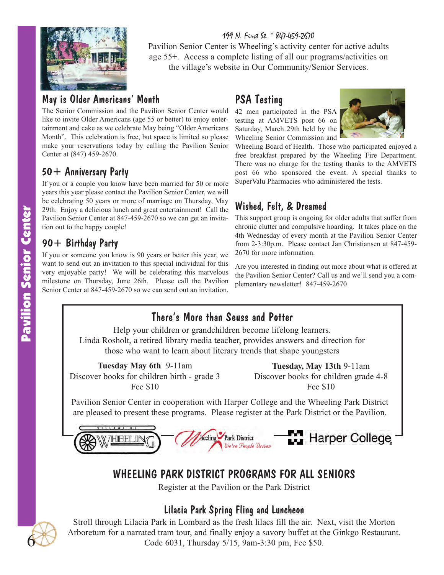

199 N. First St. \* 847-459-2670 Pavilion Senior Center is Wheeling's activity center for active adults age 55+. Access a complete listing of all our programs/activities on the village's website in Our Community/Senior Services.

# May is Older Americans' Month

The Senior Commission and the Pavilion Senior Center would like to invite Older Americans (age 55 or better) to enjoy entertainment and cake as we celebrate May being "Older Americans Month". This celebration is free, but space is limited so please make your reservations today by calling the Pavilion Senior Center at (847) 459-2670.

# 50+ Anniversary Party

If you or a couple you know have been married for 50 or more years this year please contact the Pavilion Senior Center, we will be celebrating 50 years or more of marriage on Thursday, May 29th. Enjoy a delicious lunch and great entertainment! Call the Pavilion Senior Center at 847-459-2670 so we can get an invitation out to the happy couple!

# 90+ Birthday Party

If you or someone you know is 90 years or better this year, we want to send out an invitation to this special individual for this very enjoyable party! We will be celebrating this marvelous milestone on Thursday, June 26th. Please call the Pavilion Senior Center at 847-459-2670 so we can send out an invitation.

# PSA Testing

42 men participated in the PSA testing at AMVETS post 66 on Saturday, March 29th held by the Wheeling Senior Commission and



Wheeling Board of Health. Those who participated enjoyed a free breakfast prepared by the Wheeling Fire Department. There was no charge for the testing thanks to the AMVETS post 66 who sponsored the event. A special thanks to SuperValu Pharmacies who administered the tests.

# Wished, Felt, & Dreamed

This support group is ongoing for older adults that suffer from chronic clutter and compulsive hoarding. It takes place on the 4th Wednesday of every month at the Pavilion Senior Center from 2-3:30p.m. Please contact Jan Christiansen at 847-459- 2670 for more information.

Are you interested in finding out more about what is offered at the Pavilion Senior Center? Call us and we'll send you a complementary newsletter! 847-459-2670

# There's More than Seuss and Potter

Help your children or grandchildren become lifelong learners. Linda Rosholt, a retired library media teacher, provides answers and direction for those who want to learn about literary trends that shape youngsters

**Tuesday May 6th** 9-11am Discover books for children birth - grade 3 Fee \$10

**Tuesday, May 13th** 9-11am Discover books for children grade 4-8 Fee \$10

Pavilion Senior Center in cooperation with Harper College and the Wheeling Park District are pleased to present these programs. Please register at the Park District or the Pavilion.



# WHEELING PARK DISTRICT PROGRAMS FOR ALL SENIORS

Register at the Pavilion or the Park District

#### Lilacia Park Spring Fling and Luncheon

Stroll through Lilacia Park in Lombard as the fresh lilacs fill the air. Next, visit the Morton Arboretum for a narrated tram tour, and finally enjoy a savory buffet at the Ginkgo Restaurant. Code 6031, Thursday 5/15, 9am-3:30 pm, Fee \$50.

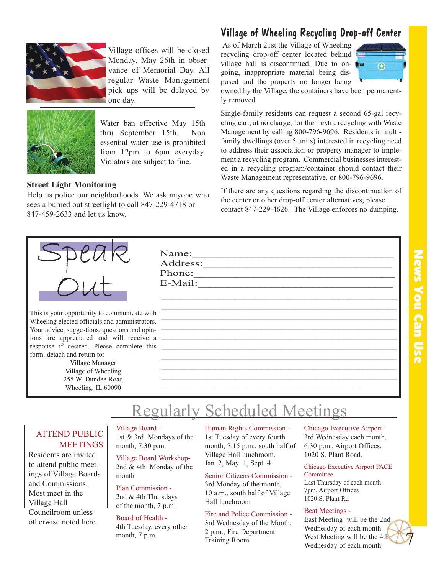

Village offices will be closed Monday, May 26th in observance of Memorial Day. All regular Waste Management pick ups will be delayed by one day.



Water ban effective May 15th thru September 15th. Non essential water use is prohibited from 12pm to 6pm everyday. Violators are subject to fine.

#### **Street Light Monitoring**

Help us police our neighborhoods. We ask anyone who sees a burned out streetlight to call 847-229-4718 or 847-459-2633 and let us know.



This is your opportunity to communicate with Wheeling elected officials and administrators. Your advice, suggestions, questions and opinions are appreciated and will receive a response if desired. Please complete this form, detach and return to:

> Village Manager Village of Wheeling 255 W. Dundee Road Wheeling, IL 60090

Name: Address:\_\_\_\_\_\_\_\_\_\_\_\_\_\_\_\_\_\_\_\_\_\_\_\_\_\_\_\_\_\_\_ Phone: E-Mail:

#### Village of Wheeling Recycling Drop-off Center

As of March 21st the Village of Wheeling recycling drop-off center located behind village hall is discontinued. Due to ongoing, inappropriate material being disposed and the property no longer being



owned by the Village, the containers have been permanently removed.

Single-family residents can request a second 65-gal recycling cart, at no charge, for their extra recycling with Waste Management by calling 800-796-9696. Residents in multifamily dwellings (over 5 units) interested in recycling need to address their association or property manager to implement a recycling program. Commercial businesses interested in a recycling program/container should contact their Waste Management representative, or 800-796-9696.

If there are any questions regarding the discontinuation of the center or other drop-off center alternatives, please contact 847-229-4626. The Village enforces no dumping.

#### $\_$  , and the set of the set of the set of the set of the set of the set of the set of the set of the set of the set of the set of the set of the set of the set of the set of the set of the set of the set of the set of th \_\_\_\_\_\_\_\_\_\_\_\_\_\_\_\_\_\_\_\_\_\_\_\_\_\_\_\_\_\_\_\_\_\_\_\_\_\_\_\_\_\_\_\_\_\_\_\_\_\_\_\_\_\_\_\_\_ \_\_\_\_\_\_\_\_\_\_\_\_\_\_\_\_\_\_\_\_\_\_\_\_\_\_\_\_\_\_\_\_\_\_\_\_\_\_\_\_\_\_\_\_\_\_\_\_\_\_\_\_\_\_\_\_\_ \_\_\_\_\_\_\_\_\_\_\_\_\_\_\_\_\_\_\_\_\_\_\_\_\_\_\_\_\_\_\_\_\_\_\_\_\_\_\_\_\_\_\_\_\_\_\_\_\_\_\_\_\_\_\_\_\_ \_\_\_\_\_\_\_\_\_\_\_\_\_\_\_\_\_\_\_\_\_\_\_\_\_\_\_\_\_\_\_\_\_\_\_\_\_\_\_\_\_\_\_\_\_\_\_\_\_\_\_\_\_\_\_\_\_ \_\_\_\_\_\_\_\_\_\_\_\_\_\_\_\_\_\_\_\_\_\_\_\_\_\_\_\_\_\_\_\_\_\_\_\_\_\_\_\_\_\_\_\_\_\_\_\_\_\_\_\_\_\_\_\_\_ \_\_\_\_\_\_\_\_\_\_\_\_\_\_\_\_\_\_\_\_\_\_\_\_\_\_\_\_\_\_\_\_\_\_\_\_\_\_\_\_\_\_\_\_\_\_\_\_\_\_\_\_\_\_\_\_\_ \_\_\_\_\_\_\_\_\_\_\_\_\_\_\_\_\_\_\_\_\_\_\_\_\_\_\_\_\_\_\_\_\_\_\_\_\_\_\_\_\_\_\_\_\_\_\_\_\_\_\_\_\_\_\_\_\_ \_\_\_\_\_\_\_\_\_\_\_\_\_\_\_\_\_\_\_\_\_\_\_\_\_\_\_\_\_\_\_\_\_\_\_\_\_\_\_\_\_\_\_\_\_\_\_\_\_\_\_\_\_\_\_\_\_ \_\_\_\_\_\_\_\_\_\_\_\_\_\_\_\_\_\_\_\_\_\_\_\_\_\_\_\_\_\_\_\_\_\_\_\_\_\_\_\_\_\_\_\_\_\_\_\_

# Regularly Scheduled Meetings

#### ATTEND PUBLIC **MEETINGS**

Residents are invited to attend public meetings of Village Boards and Commissions. Most meet in the Village Hall Councilroom unless otherwise noted here.

Village Board - 1st & 3rd Mondays of the month, 7:30 p.m.

Village Board Workshop-2nd & 4th Monday of the month

Plan Commission - 2nd & 4th Thursdays

# of the month, 7 p.m.

#### Board of Health -

4th Tuesday, every other month, 7 p.m.

#### Human Rights Commission - 1st Tuesday of every fourth month, 7:15 p.m., south half of Village Hall lunchroom. Jan. 2, May 1, Sept. 4

Senior Citizens Commission -

3rd Monday of the month, 10 a.m., south half of Village Hall lunchroom

#### Fire and Police Commission - 3rd Wednesday of the Month,

2 p.m., Fire Department Training Room

Chicago Executive Airport-3rd Wednesday each month, 6:30 p.m., Airport Offices, 1020 S. Plant Road.

#### Chicago Executive Airport PACE Committee

Last Thursday of each month 7pm, Airport Offices 1020 S. Plant Rd

#### Beat Meetings -

East Meeting will be the 2nd Wednesday of each month. West Meeting will be the 4th Wednesday of each month.